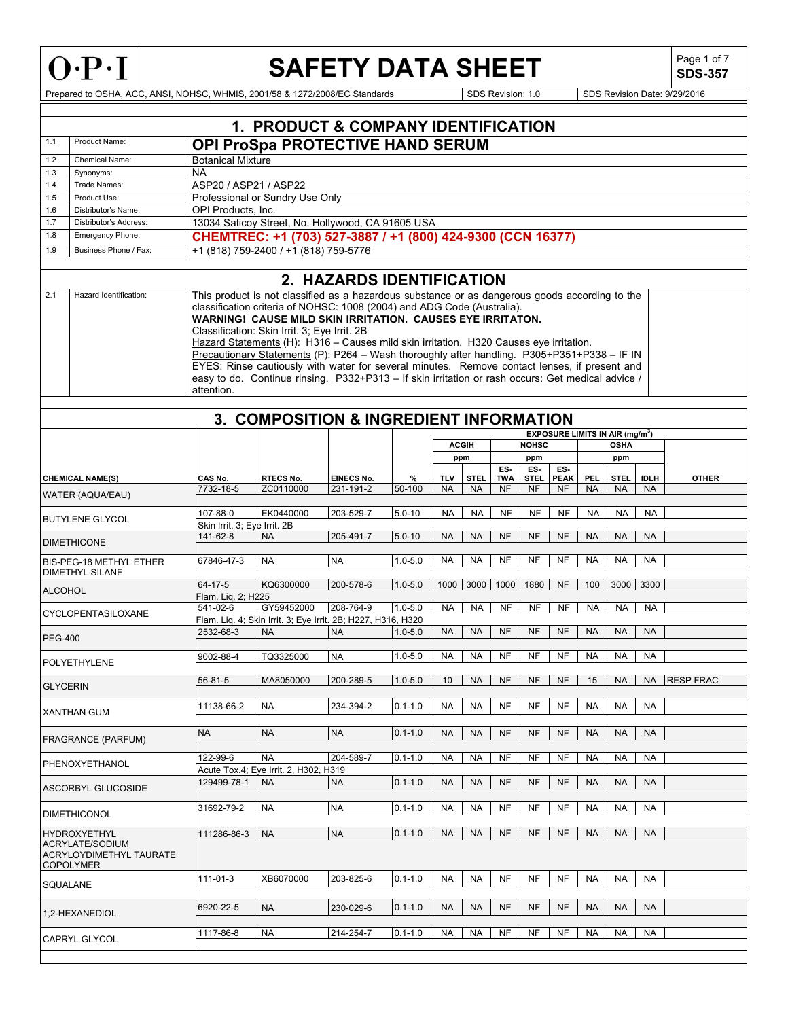

# **SAFETY DATA SHEET**

**SDS-357**

|                                                                                              | 1. PRODUCT & COMPANY IDENTIFICATION        |                                                                                                                                                                                                                                                                                                                                                                                                                                                                                                                                                                                                                                                                                                            |                                                              |                           |             |            |              |            |              |                                                  |           |             |             |              |
|----------------------------------------------------------------------------------------------|--------------------------------------------|------------------------------------------------------------------------------------------------------------------------------------------------------------------------------------------------------------------------------------------------------------------------------------------------------------------------------------------------------------------------------------------------------------------------------------------------------------------------------------------------------------------------------------------------------------------------------------------------------------------------------------------------------------------------------------------------------------|--------------------------------------------------------------|---------------------------|-------------|------------|--------------|------------|--------------|--------------------------------------------------|-----------|-------------|-------------|--------------|
|                                                                                              |                                            |                                                                                                                                                                                                                                                                                                                                                                                                                                                                                                                                                                                                                                                                                                            |                                                              |                           |             |            |              |            |              |                                                  |           |             |             |              |
| 1.1                                                                                          | Product Name:                              |                                                                                                                                                                                                                                                                                                                                                                                                                                                                                                                                                                                                                                                                                                            | OPI ProSpa PROTECTIVE HAND SERUM                             |                           |             |            |              |            |              |                                                  |           |             |             |              |
| 1.2                                                                                          | <b>Chemical Name:</b>                      | <b>Botanical Mixture</b>                                                                                                                                                                                                                                                                                                                                                                                                                                                                                                                                                                                                                                                                                   |                                                              |                           |             |            |              |            |              |                                                  |           |             |             |              |
| 1.3                                                                                          | Synonyms:                                  | <b>NA</b>                                                                                                                                                                                                                                                                                                                                                                                                                                                                                                                                                                                                                                                                                                  |                                                              |                           |             |            |              |            |              |                                                  |           |             |             |              |
| 1.4                                                                                          | Trade Names:                               | ASP20 / ASP21 / ASP22                                                                                                                                                                                                                                                                                                                                                                                                                                                                                                                                                                                                                                                                                      |                                                              |                           |             |            |              |            |              |                                                  |           |             |             |              |
| 1.5                                                                                          | Product Use:                               |                                                                                                                                                                                                                                                                                                                                                                                                                                                                                                                                                                                                                                                                                                            | Professional or Sundry Use Only                              |                           |             |            |              |            |              |                                                  |           |             |             |              |
| 1.6                                                                                          | Distributor's Name:                        | OPI Products, Inc.                                                                                                                                                                                                                                                                                                                                                                                                                                                                                                                                                                                                                                                                                         |                                                              |                           |             |            |              |            |              |                                                  |           |             |             |              |
| 1.7                                                                                          | Distributor's Address:                     |                                                                                                                                                                                                                                                                                                                                                                                                                                                                                                                                                                                                                                                                                                            | 13034 Saticoy Street, No. Hollywood, CA 91605 USA            |                           |             |            |              |            |              |                                                  |           |             |             |              |
| 1.8                                                                                          | Emergency Phone:                           |                                                                                                                                                                                                                                                                                                                                                                                                                                                                                                                                                                                                                                                                                                            | CHEMTREC: +1 (703) 527-3887 / +1 (800) 424-9300 (CCN 16377)  |                           |             |            |              |            |              |                                                  |           |             |             |              |
| 1.9                                                                                          | Business Phone / Fax:                      |                                                                                                                                                                                                                                                                                                                                                                                                                                                                                                                                                                                                                                                                                                            | +1 (818) 759-2400 / +1 (818) 759-5776                        |                           |             |            |              |            |              |                                                  |           |             |             |              |
|                                                                                              |                                            |                                                                                                                                                                                                                                                                                                                                                                                                                                                                                                                                                                                                                                                                                                            |                                                              | 2. HAZARDS IDENTIFICATION |             |            |              |            |              |                                                  |           |             |             |              |
| 2.1                                                                                          | Hazard Identification:                     | This product is not classified as a hazardous substance or as dangerous goods according to the<br>classification criteria of NOHSC: 1008 (2004) and ADG Code (Australia).<br><b>WARNING! CAUSE MILD SKIN IRRITATION. CAUSES EYE IRRITATON.</b><br>Classification: Skin Irrit. 3; Eye Irrit. 2B<br>Hazard Statements (H): H316 - Causes mild skin irritation. H320 Causes eye irritation.<br>Precautionary Statements (P): P264 - Wash thoroughly after handling. P305+P351+P338 - IF IN<br>EYES: Rinse cautiously with water for several minutes. Remove contact lenses, if present and<br>easy to do. Continue rinsing. P332+P313 - If skin irritation or rash occurs: Get medical advice /<br>attention. |                                                              |                           |             |            |              |            |              |                                                  |           |             |             |              |
|                                                                                              |                                            |                                                                                                                                                                                                                                                                                                                                                                                                                                                                                                                                                                                                                                                                                                            | 3. COMPOSITION & INGREDIENT INFORMATION                      |                           |             |            |              |            |              |                                                  |           |             |             |              |
|                                                                                              |                                            |                                                                                                                                                                                                                                                                                                                                                                                                                                                                                                                                                                                                                                                                                                            |                                                              |                           |             |            | <b>ACGIH</b> |            | <b>NOHSC</b> | <b>EXPOSURE LIMITS IN AIR (mg/m<sup>3</sup>)</b> |           | <b>OSHA</b> |             |              |
|                                                                                              |                                            |                                                                                                                                                                                                                                                                                                                                                                                                                                                                                                                                                                                                                                                                                                            |                                                              |                           |             |            | ppm          |            | ppm          |                                                  |           | ppm         |             |              |
|                                                                                              |                                            |                                                                                                                                                                                                                                                                                                                                                                                                                                                                                                                                                                                                                                                                                                            |                                                              |                           |             |            |              | ES-        | ES-          | ES-                                              |           |             |             |              |
|                                                                                              | <b>CHEMICAL NAME(S)</b>                    | CAS No.                                                                                                                                                                                                                                                                                                                                                                                                                                                                                                                                                                                                                                                                                                    | <b>RTECS No.</b>                                             | <b>EINECS No.</b>         | %           | <b>TLV</b> | <b>STEL</b>  | <b>TWA</b> | <b>STEL</b>  | <b>PEAK</b>                                      | PEL       | <b>STEL</b> | <b>IDLH</b> | <b>OTHER</b> |
|                                                                                              | <b>WATER (AQUA/EAU)</b>                    | 7732-18-5                                                                                                                                                                                                                                                                                                                                                                                                                                                                                                                                                                                                                                                                                                  | ZC0110000                                                    | 231-191-2                 | 50-100      | <b>NA</b>  | <b>NA</b>    | <b>NF</b>  | NF           | <b>NF</b>                                        | <b>NA</b> | <b>NA</b>   | <b>NA</b>   |              |
|                                                                                              |                                            | 107-88-0                                                                                                                                                                                                                                                                                                                                                                                                                                                                                                                                                                                                                                                                                                   | EK0440000                                                    | 203-529-7                 | $5.0 - 10$  | <b>NA</b>  | <b>NA</b>    | NF         | <b>NF</b>    | <b>NF</b>                                        | <b>NA</b> | <b>NA</b>   | <b>NA</b>   |              |
|                                                                                              | <b>BUTYLENE GLYCOL</b>                     | Skin Irrit. 3; Eye Irrit. 2B                                                                                                                                                                                                                                                                                                                                                                                                                                                                                                                                                                                                                                                                               |                                                              |                           |             |            |              |            |              |                                                  |           |             |             |              |
| <b>DIMETHICONE</b>                                                                           |                                            | 141-62-8                                                                                                                                                                                                                                                                                                                                                                                                                                                                                                                                                                                                                                                                                                   | <b>NA</b>                                                    | 205-491-7                 | $5.0 - 10$  | <b>NA</b>  | <b>NA</b>    | NF         | <b>NF</b>    | <b>NF</b>                                        | <b>NA</b> | <b>NA</b>   | <b>NA</b>   |              |
|                                                                                              |                                            |                                                                                                                                                                                                                                                                                                                                                                                                                                                                                                                                                                                                                                                                                                            |                                                              |                           |             |            |              |            |              |                                                  |           |             |             |              |
|                                                                                              | BIS-PEG-18 METHYL ETHER<br>DIMETHYL SILANE | 67846-47-3                                                                                                                                                                                                                                                                                                                                                                                                                                                                                                                                                                                                                                                                                                 | <b>NA</b>                                                    | <b>NA</b>                 | $1.0 - 5.0$ | <b>NA</b>  | <b>NA</b>    | NF         | NF           | <b>NF</b>                                        | <b>NA</b> | <b>NA</b>   | <b>NA</b>   |              |
| <b>ALCOHOL</b>                                                                               |                                            | 64-17-5                                                                                                                                                                                                                                                                                                                                                                                                                                                                                                                                                                                                                                                                                                    | KQ6300000                                                    | 200-578-6                 | $1.0 - 5.0$ | 1000       | 3000         | 1000       | 1880         | <b>NF</b>                                        | 100       | 3000        | 3300        |              |
|                                                                                              |                                            | Flam. Liq. 2; H225<br>541-02-6                                                                                                                                                                                                                                                                                                                                                                                                                                                                                                                                                                                                                                                                             | GY59452000                                                   | 208-764-9                 | $1.0 - 5.0$ | <b>NA</b>  | <b>NA</b>    | NF         | <b>NF</b>    | <b>NF</b>                                        | <b>NA</b> | <b>NA</b>   | <b>NA</b>   |              |
|                                                                                              | CYCLOPENTASILOXANE                         |                                                                                                                                                                                                                                                                                                                                                                                                                                                                                                                                                                                                                                                                                                            | Flam. Liq. 4; Skin Irrit. 3; Eye Irrit. 2B; H227, H316, H320 |                           |             |            |              |            |              |                                                  |           |             |             |              |
|                                                                                              |                                            | 2532-68-3                                                                                                                                                                                                                                                                                                                                                                                                                                                                                                                                                                                                                                                                                                  | <b>NA</b>                                                    | <b>NA</b>                 | $1.0 - 5.0$ | <b>NA</b>  | <b>NA</b>    | <b>NF</b>  | <b>NF</b>    | <b>NF</b>                                        | <b>NA</b> | <b>NA</b>   | <b>NA</b>   |              |
| <b>PEG-400</b>                                                                               |                                            |                                                                                                                                                                                                                                                                                                                                                                                                                                                                                                                                                                                                                                                                                                            |                                                              |                           |             |            |              |            |              |                                                  |           |             |             |              |
|                                                                                              | POLYETHYLENE                               | 9002-88-4                                                                                                                                                                                                                                                                                                                                                                                                                                                                                                                                                                                                                                                                                                  | TQ3325000                                                    | <b>NA</b>                 | $1.0 - 5.0$ | NA         | <b>NA</b>    | NF         | NF           | NF                                               | <b>NA</b> | NA          | <b>NA</b>   |              |
| <b>GLYCERIN</b>                                                                              |                                            | 56-81-5                                                                                                                                                                                                                                                                                                                                                                                                                                                                                                                                                                                                                                                                                                    | MA8050000                                                    | 200-289-5                 | $1.0 - 5.0$ | 10         | <b>NA</b>    | NF         | NF           | NF                                               | 15        | <b>NA</b>   |             | NA RESP FRAC |
|                                                                                              | <b>XANTHAN GUM</b>                         | 11138-66-2                                                                                                                                                                                                                                                                                                                                                                                                                                                                                                                                                                                                                                                                                                 | <b>NA</b>                                                    | 234-394-2                 | $0.1 - 1.0$ | NA         | <b>NA</b>    | NF         | <b>NF</b>    | NF                                               | <b>NA</b> | <b>NA</b>   | <b>NA</b>   |              |
|                                                                                              | <b>FRAGRANCE (PARFUM)</b>                  | <b>NA</b>                                                                                                                                                                                                                                                                                                                                                                                                                                                                                                                                                                                                                                                                                                  | <b>NA</b>                                                    | <b>NA</b>                 | $0.1 - 1.0$ | <b>NA</b>  | <b>NA</b>    | NF         | <b>NF</b>    | NF                                               | <b>NA</b> | <b>NA</b>   | <b>NA</b>   |              |
|                                                                                              |                                            | 122-99-6                                                                                                                                                                                                                                                                                                                                                                                                                                                                                                                                                                                                                                                                                                   | <b>NA</b>                                                    | 204-589-7                 | $0.1 - 1.0$ | NA         | NA.          | NF         | NF           | NF                                               | <b>NA</b> | <b>NA</b>   | NA          |              |
|                                                                                              | PHENOXYETHANOL                             |                                                                                                                                                                                                                                                                                                                                                                                                                                                                                                                                                                                                                                                                                                            | Acute Tox.4; Eye Irrit. 2, H302, H319                        |                           |             |            |              |            |              |                                                  |           |             |             |              |
| ASCORBYL GLUCOSIDE                                                                           |                                            | 129499-78-1                                                                                                                                                                                                                                                                                                                                                                                                                                                                                                                                                                                                                                                                                                | <b>NA</b>                                                    | <b>NA</b>                 | $0.1 - 1.0$ | <b>NA</b>  | <b>NA</b>    | NF         | NF           | NF                                               | <b>NA</b> | <b>NA</b>   | <b>NA</b>   |              |
|                                                                                              | <b>DIMETHICONOL</b>                        | 31692-79-2                                                                                                                                                                                                                                                                                                                                                                                                                                                                                                                                                                                                                                                                                                 | <b>NA</b>                                                    | <b>NA</b>                 | $0.1 - 1.0$ | <b>NA</b>  | <b>NA</b>    | NF         | NF           | <b>NF</b>                                        | <b>NA</b> | <b>NA</b>   | NA          |              |
|                                                                                              |                                            |                                                                                                                                                                                                                                                                                                                                                                                                                                                                                                                                                                                                                                                                                                            |                                                              |                           |             |            |              |            |              |                                                  |           |             |             |              |
| <b>HYDROXYETHYL</b><br>ACRYLATE/SODIUM<br><b>ACRYLOYDIMETHYL TAURATE</b><br><b>COPOLYMER</b> |                                            | 111286-86-3                                                                                                                                                                                                                                                                                                                                                                                                                                                                                                                                                                                                                                                                                                | <b>NA</b>                                                    | <b>NA</b>                 | $0.1 - 1.0$ | <b>NA</b>  | <b>NA</b>    | <b>NF</b>  | <b>NF</b>    | <b>NF</b>                                        | <b>NA</b> | <b>NA</b>   | <b>NA</b>   |              |
| SQUALANE                                                                                     |                                            | 111-01-3                                                                                                                                                                                                                                                                                                                                                                                                                                                                                                                                                                                                                                                                                                   | XB6070000                                                    | 203-825-6                 | $0.1 - 1.0$ | <b>NA</b>  | <b>NA</b>    | <b>NF</b>  | <b>NF</b>    | NF                                               | <b>NA</b> | <b>NA</b>   | <b>NA</b>   |              |
|                                                                                              | 1,2-HEXANEDIOL                             | 6920-22-5                                                                                                                                                                                                                                                                                                                                                                                                                                                                                                                                                                                                                                                                                                  | <b>NA</b>                                                    | 230-029-6                 | $0.1 - 1.0$ | <b>NA</b>  | <b>NA</b>    | NF         | NF           | NF                                               | <b>NA</b> | <b>NA</b>   | <b>NA</b>   |              |
|                                                                                              |                                            | 1117-86-8                                                                                                                                                                                                                                                                                                                                                                                                                                                                                                                                                                                                                                                                                                  | <b>NA</b>                                                    | 214-254-7                 | $0.1 - 1.0$ | NA         | NA           | NF         | NF           | NF                                               | <b>NA</b> | <b>NA</b>   | <b>NA</b>   |              |
|                                                                                              | CAPRYL GLYCOL                              |                                                                                                                                                                                                                                                                                                                                                                                                                                                                                                                                                                                                                                                                                                            |                                                              |                           |             |            |              |            |              |                                                  |           |             |             |              |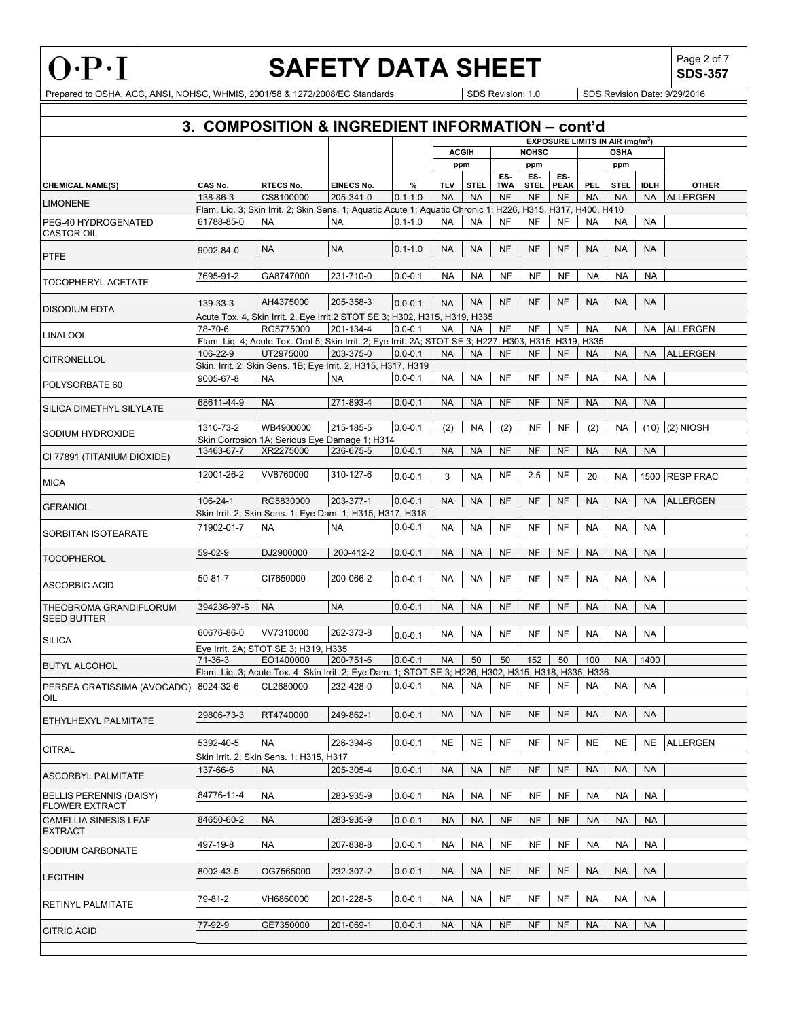

Г

# **SAFETY DATA SHEET** SDS-357

**SDS-357**

|                                                | 3. COMPOSITION & INGREDIENT INFORMATION - cont'd |                                                                                                                          |                   |             |            |                     |            |                     |                                                  |            |                    |             |                  |
|------------------------------------------------|--------------------------------------------------|--------------------------------------------------------------------------------------------------------------------------|-------------------|-------------|------------|---------------------|------------|---------------------|--------------------------------------------------|------------|--------------------|-------------|------------------|
|                                                |                                                  |                                                                                                                          |                   |             |            |                     |            |                     | <b>EXPOSURE LIMITS IN AIR (mg/m<sup>3</sup>)</b> |            |                    |             |                  |
|                                                |                                                  |                                                                                                                          |                   |             |            | <b>ACGIH</b><br>ppm |            | <b>NOHSC</b><br>ppm |                                                  |            | <b>OSHA</b><br>ppm |             |                  |
|                                                |                                                  |                                                                                                                          |                   |             |            |                     | ES.        | ES-                 | ES-                                              |            |                    |             |                  |
| <b>CHEMICAL NAME(S)</b>                        | CAS No.                                          | <b>RTECS No.</b>                                                                                                         | <b>EINECS No.</b> | %           | <b>TLV</b> | <b>STEL</b>         | <b>TWA</b> | STEL.               | <b>PEAK</b>                                      | <b>PEL</b> | <b>STEL</b>        | <b>IDLH</b> | <b>OTHER</b>     |
| <b>LIMONENE</b>                                | 138-86-3                                         | CS8100000<br>Flam. Liq. 3; Skin Irrit. 2; Skin Sens. 1; Aquatic Acute 1; Aquatic Chronic 1; H226, H315, H317, H400, H410 | 205-341-0         | $0.1 - 1.0$ | <b>NA</b>  | <b>NA</b>           | <b>NF</b>  | <b>NF</b>           | <b>NF</b>                                        | <b>NA</b>  | <b>NA</b>          | <b>NA</b>   | <b>ALLERGEN</b>  |
| PEG-40 HYDROGENATED                            | 61788-85-0                                       | <b>NA</b>                                                                                                                | <b>NA</b>         | $0.1 - 1.0$ | <b>NA</b>  | <b>NA</b>           | <b>NF</b>  | <b>NF</b>           | <b>NF</b>                                        | <b>NA</b>  | <b>NA</b>          | <b>NA</b>   |                  |
| <b>CASTOR OIL</b>                              |                                                  |                                                                                                                          |                   |             |            |                     |            |                     |                                                  |            |                    |             |                  |
|                                                | 9002-84-0                                        | <b>NA</b>                                                                                                                | <b>NA</b>         | $0.1 - 1.0$ | <b>NA</b>  | <b>NA</b>           | <b>NF</b>  | <b>NF</b>           | <b>NF</b>                                        | <b>NA</b>  | <b>NA</b>          | <b>NA</b>   |                  |
| <b>PTFE</b>                                    |                                                  |                                                                                                                          |                   |             |            |                     |            |                     |                                                  |            |                    |             |                  |
| <b>TOCOPHERYL ACETATE</b>                      | 7695-91-2                                        | GA8747000                                                                                                                | 231-710-0         | $0.0 - 0.1$ | <b>NA</b>  | <b>NA</b>           | <b>NF</b>  | <b>NF</b>           | <b>NF</b>                                        | <b>NA</b>  | <b>NA</b>          | <b>NA</b>   |                  |
| <b>DISODIUM EDTA</b>                           | 139-33-3                                         | AH4375000<br>Acute Tox. 4, Skin Irrit. 2, Eye Irrit.2 STOT SE 3; H302, H315, H319, H335                                  | 205-358-3         | $0.0 - 0.1$ | <b>NA</b>  | <b>NA</b>           | <b>NF</b>  | <b>NF</b>           | <b>NF</b>                                        | <b>NA</b>  | <b>NA</b>          | <b>NA</b>   |                  |
|                                                | 78-70-6                                          | RG5775000                                                                                                                | 201-134-4         | $0.0 - 0.1$ | <b>NA</b>  | <b>NA</b>           | <b>NF</b>  | <b>NF</b>           | <b>NF</b>                                        | <b>NA</b>  | NA                 | <b>NA</b>   | <b>ALLERGEN</b>  |
| <b>LINALOOL</b>                                |                                                  | Flam. Liq. 4; Acute Tox. Oral 5; Skin Irrit. 2; Eye Irrit. 2A; STOT SE 3; H227, H303, H315, H319, H335                   |                   |             |            |                     |            |                     |                                                  |            |                    |             |                  |
| <b>CITRONELLOL</b>                             | 106-22-9                                         | UT2975000                                                                                                                | 203-375-0         | $0.0 - 0.1$ | <b>NA</b>  | <b>NA</b>           | <b>NF</b>  | <b>NF</b>           | <b>NF</b>                                        | <b>NA</b>  | <b>NA</b>          | <b>NA</b>   | <b>ALLERGEN</b>  |
|                                                |                                                  | Skin. Irrit. 2; Skin Sens. 1B; Eye Irrit. 2, H315, H317, H319                                                            |                   |             |            |                     |            |                     |                                                  |            |                    |             |                  |
| POLYSORBATE 60                                 | 9005-67-8                                        | <b>NA</b>                                                                                                                | <b>NA</b>         | $0.0 - 0.1$ | <b>NA</b>  | <b>NA</b>           | NF         | <b>NF</b>           | <b>NF</b>                                        | <b>NA</b>  | <b>NA</b>          | <b>NA</b>   |                  |
| SILICA DIMETHYL SILYLATE                       | 68611-44-9                                       | <b>NA</b>                                                                                                                | 271-893-4         | $0.0 - 0.1$ | <b>NA</b>  | <b>NA</b>           | <b>NF</b>  | <b>NF</b>           | <b>NF</b>                                        | <b>NA</b>  | <b>NA</b>          | <b>NA</b>   |                  |
|                                                | 1310-73-2                                        | WB4900000                                                                                                                | 215-185-5         | $0.0 - 0.1$ | (2)        | <b>NA</b>           | (2)        | <b>NF</b>           | <b>NF</b>                                        | (2)        | <b>NA</b>          | (10)        | (2) NIOSH        |
| SODIUM HYDROXIDE                               |                                                  | Skin Corrosion 1A; Serious Eye Damage 1; H314                                                                            |                   |             |            |                     |            |                     |                                                  |            |                    |             |                  |
| CI 77891 (TITANIUM DIOXIDE)                    | 13463-67-7                                       | XR2275000                                                                                                                | 236-675-5         | $0.0 - 0.1$ | <b>NA</b>  | <b>NA</b>           | <b>NF</b>  | <b>NF</b>           | <b>NF</b>                                        | <b>NA</b>  | <b>NA</b>          | <b>NA</b>   |                  |
|                                                |                                                  |                                                                                                                          |                   |             |            |                     |            |                     |                                                  |            |                    |             |                  |
| <b>MICA</b>                                    | 12001-26-2                                       | VV8760000                                                                                                                | 310-127-6         | $0.0 - 0.1$ | 3          | <b>NA</b>           | NF         | 2.5                 | <b>NF</b>                                        | 20         | <b>NA</b>          | 1500        | <b>RESP FRAC</b> |
|                                                | 106-24-1                                         | RG5830000                                                                                                                | 203-377-1         | $0.0 - 0.1$ | <b>NA</b>  | <b>NA</b>           | <b>NF</b>  | NF                  | NF                                               | <b>NA</b>  | <b>NA</b>          | <b>NA</b>   | ALLERGEN         |
| <b>GERANIOL</b>                                |                                                  | Skin Irrit. 2; Skin Sens. 1; Eye Dam. 1; H315, H317, H318                                                                |                   |             |            |                     |            |                     |                                                  |            |                    |             |                  |
| SORBITAN ISOTEARATE                            | 71902-01-7                                       | <b>NA</b>                                                                                                                | <b>NA</b>         | $0.0 - 0.1$ | NA         | <b>NA</b>           | <b>NF</b>  | NF                  | <b>NF</b>                                        | <b>NA</b>  | NA                 | <b>NA</b>   |                  |
|                                                | 59-02-9                                          | DJ2900000                                                                                                                | 200-412-2         | $0.0 - 0.1$ | <b>NA</b>  | <b>NA</b>           | <b>NF</b>  | <b>NF</b>           | <b>NF</b>                                        | <b>NA</b>  | <b>NA</b>          | <b>NA</b>   |                  |
| <b>TOCOPHEROL</b>                              |                                                  |                                                                                                                          |                   |             |            |                     |            |                     |                                                  |            |                    |             |                  |
| <b>ASCORBIC ACID</b>                           | $50 - 81 - 7$                                    | CI7650000                                                                                                                | 200-066-2         | $0.0 - 0.1$ | NA         | <b>NA</b>           | <b>NF</b>  | <b>NF</b>           | <b>NF</b>                                        | NA         | <b>NA</b>          | <b>NA</b>   |                  |
| THEOBROMA GRANDIFLORUM                         | 394236-97-6                                      | <b>NA</b>                                                                                                                | <b>NA</b>         | $0.0 - 0.1$ | <b>NA</b>  | <b>NA</b>           | <b>NF</b>  | <b>NF</b>           | NF                                               | <b>NA</b>  | <b>NA</b>          | <b>NA</b>   |                  |
| <b>SEED BUTTER</b>                             |                                                  |                                                                                                                          |                   |             |            |                     |            |                     |                                                  |            |                    |             |                  |
|                                                | 60676-86-0                                       | VV7310000                                                                                                                | 262-373-8         | $0.0 - 0.1$ | <b>NA</b>  | NA                  | <b>NF</b>  | <b>NF</b>           | <b>NF</b>                                        | NA         | <b>NA</b>          | <b>NA</b>   |                  |
| <b>SILICA</b>                                  |                                                  | Eye Irrit. 2A; STOT SE 3; H319, H335                                                                                     |                   |             |            |                     |            |                     |                                                  |            |                    |             |                  |
| <b>BUTYL ALCOHOL</b>                           | $71-36-3$                                        | EO1400000                                                                                                                | 200-751-6         | $0.0 - 0.1$ | <b>NA</b>  | 50                  | 50         | 152                 | 50                                               | 100        | <b>NA</b>          | 1400        |                  |
|                                                |                                                  | Flam. Liq. 3; Acute Tox. 4; Skin Irrit. 2; Eye Dam. 1; STOT SE 3; H226, H302, H315, H318, H335, H336                     |                   |             |            |                     |            |                     |                                                  |            |                    |             |                  |
| PERSEA GRATISSIMA (AVOCADO) 8024-32-6<br>OIL   |                                                  | CL2680000                                                                                                                | 232-428-0         | $0.0 - 0.1$ | NA         | NA                  | <b>NF</b>  | <b>NF</b>           | <b>NF</b>                                        | NA         | <b>NA</b>          | <b>NA</b>   |                  |
|                                                |                                                  |                                                                                                                          |                   |             |            |                     |            |                     |                                                  |            |                    |             |                  |
| ETHYLHEXYL PALMITATE                           | 29806-73-3                                       | RT4740000                                                                                                                | 249-862-1         | $0.0 - 0.1$ | <b>NA</b>  | <b>NA</b>           | <b>NF</b>  | <b>NF</b>           | <b>NF</b>                                        | <b>NA</b>  | <b>NA</b>          | <b>NA</b>   |                  |
|                                                | 5392-40-5                                        | <b>NA</b>                                                                                                                | 226-394-6         | $0.0 - 0.1$ | <b>NE</b>  | <b>NE</b>           | <b>NF</b>  | <b>NF</b>           | <b>NF</b>                                        | <b>NE</b>  | <b>NE</b>          | <b>NE</b>   | <b>ALLERGEN</b>  |
| <b>CITRAL</b>                                  |                                                  | Skin Irrit. 2; Skin Sens. 1; H315, H317                                                                                  |                   |             |            |                     |            |                     |                                                  |            |                    |             |                  |
|                                                | 137-66-6                                         | <b>NA</b>                                                                                                                | 205-305-4         | $0.0 - 0.1$ | <b>NA</b>  | <b>NA</b>           | <b>NF</b>  | <b>NF</b>           | <b>NF</b>                                        | <b>NA</b>  | <b>NA</b>          | <b>NA</b>   |                  |
| <b>ASCORBYL PALMITATE</b>                      |                                                  |                                                                                                                          |                   |             |            |                     |            |                     |                                                  |            |                    |             |                  |
| BELLIS PERENNIS (DAISY)                        | 84776-11-4                                       | <b>NA</b>                                                                                                                | 283-935-9         | $0.0 - 0.1$ | NA         | <b>NA</b>           | <b>NF</b>  | <b>NF</b>           | NF                                               | <b>NA</b>  | NA                 | NA          |                  |
| <b>FLOWER EXTRACT</b>                          |                                                  |                                                                                                                          |                   |             |            |                     |            |                     |                                                  |            |                    |             |                  |
| <b>CAMELLIA SINESIS LEAF</b><br><b>EXTRACT</b> | 84650-60-2                                       | <b>NA</b>                                                                                                                | 283-935-9         | $0.0 - 0.1$ | <b>NA</b>  | <b>NA</b>           | <b>NF</b>  | <b>NF</b>           | <b>NF</b>                                        | <b>NA</b>  | <b>NA</b>          | <b>NA</b>   |                  |
|                                                | 497-19-8                                         | <b>NA</b>                                                                                                                | 207-838-8         | $0.0 - 0.1$ | NA         | <b>NA</b>           | <b>NF</b>  | <b>NF</b>           | NF                                               | <b>NA</b>  | <b>NA</b>          | <b>NA</b>   |                  |
| SODIUM CARBONATE                               |                                                  |                                                                                                                          |                   |             |            |                     |            |                     |                                                  |            |                    |             |                  |
| <b>LECITHIN</b>                                | 8002-43-5                                        | OG7565000                                                                                                                | 232-307-2         | $0.0 - 0.1$ | <b>NA</b>  | <b>NA</b>           | NF         | <b>NF</b>           | NF                                               | <b>NA</b>  | <b>NA</b>          | <b>NA</b>   |                  |
|                                                | 79-81-2                                          | VH6860000                                                                                                                | 201-228-5         | $0.0 - 0.1$ | NA         | NA                  | NF         | <b>NF</b>           | NF                                               | <b>NA</b>  | <b>NA</b>          | <b>NA</b>   |                  |
| RETINYL PALMITATE                              |                                                  |                                                                                                                          |                   |             |            |                     |            |                     |                                                  |            |                    |             |                  |
|                                                | 77-92-9                                          | GE7350000                                                                                                                | 201-069-1         | $0.0 - 0.1$ | <b>NA</b>  | <b>NA</b>           | <b>NF</b>  | <b>NF</b>           | <b>NF</b>                                        | <b>NA</b>  | <b>NA</b>          | <b>NA</b>   |                  |
| <b>CITRIC ACID</b>                             |                                                  |                                                                                                                          |                   |             |            |                     |            |                     |                                                  |            |                    |             |                  |
|                                                |                                                  |                                                                                                                          |                   |             |            |                     |            |                     |                                                  |            |                    |             |                  |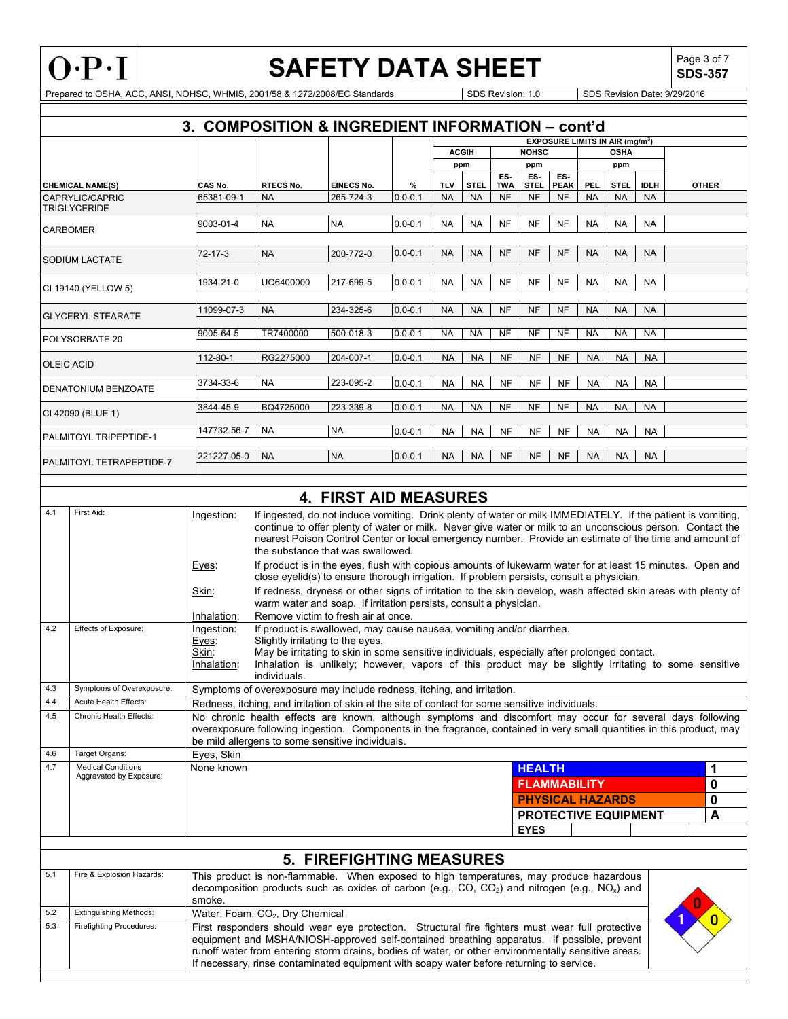

**SDS-357**

|                     |                                                      | 3. COMPOSITION & INGREDIENT INFORMATION - cont'd |                                                                                                                                                                                                                                                                                                                                    |                                 |                  |                  |                          |                  |                          |                                                  |                         |                          |                          |              |
|---------------------|------------------------------------------------------|--------------------------------------------------|------------------------------------------------------------------------------------------------------------------------------------------------------------------------------------------------------------------------------------------------------------------------------------------------------------------------------------|---------------------------------|------------------|------------------|--------------------------|------------------|--------------------------|--------------------------------------------------|-------------------------|--------------------------|--------------------------|--------------|
|                     |                                                      |                                                  |                                                                                                                                                                                                                                                                                                                                    |                                 |                  |                  | <b>ACGIH</b>             |                  | <b>NOHSC</b>             | <b>EXPOSURE LIMITS IN AIR (mg/m<sup>3</sup>)</b> |                         | <b>OSHA</b>              |                          |              |
|                     |                                                      |                                                  |                                                                                                                                                                                                                                                                                                                                    |                                 |                  |                  | ppm                      |                  | ppm                      |                                                  |                         | ppm                      |                          |              |
|                     |                                                      |                                                  |                                                                                                                                                                                                                                                                                                                                    |                                 |                  |                  |                          | ES-              | ES-                      | ES-                                              |                         |                          |                          |              |
|                     | <b>CHEMICAL NAME(S)</b><br>CAPRYLIC/CAPRIC           | CAS No.<br>65381-09-1                            | <b>RTECS No.</b><br><b>NA</b>                                                                                                                                                                                                                                                                                                      | <b>EINECS No.</b><br>265-724-3  | %<br>$0.0 - 0.1$ | TLV<br><b>NA</b> | <b>STEL</b><br><b>NA</b> | TWA<br><b>NF</b> | <b>STEL</b><br><b>NF</b> | <b>PEAK</b><br><b>NF</b>                         | <b>PEL</b><br><b>NA</b> | <b>STEL</b><br><b>NA</b> | <b>IDLH</b><br><b>NA</b> | <b>OTHER</b> |
| <b>TRIGLYCERIDE</b> |                                                      |                                                  |                                                                                                                                                                                                                                                                                                                                    |                                 |                  |                  |                          |                  |                          |                                                  |                         |                          |                          |              |
|                     |                                                      | 9003-01-4                                        | <b>NA</b>                                                                                                                                                                                                                                                                                                                          | <b>NA</b>                       | $0.0 - 0.1$      | <b>NA</b>        | <b>NA</b>                | NF               | NF                       | <b>NF</b>                                        | NA                      | <b>NA</b>                | <b>NA</b>                |              |
|                     | <b>CARBOMER</b>                                      |                                                  |                                                                                                                                                                                                                                                                                                                                    |                                 |                  |                  |                          |                  |                          |                                                  |                         |                          |                          |              |
|                     |                                                      | 72-17-3                                          | <b>NA</b>                                                                                                                                                                                                                                                                                                                          | 200-772-0                       | $0.0 - 0.1$      | <b>NA</b>        | <b>NA</b>                | <b>NF</b>        | <b>NF</b>                | <b>NF</b>                                        | <b>NA</b>               | <b>NA</b>                | <b>NA</b>                |              |
|                     | SODIUM LACTATE                                       |                                                  |                                                                                                                                                                                                                                                                                                                                    |                                 |                  |                  |                          |                  |                          |                                                  |                         |                          |                          |              |
|                     |                                                      | 1934-21-0                                        | UQ6400000                                                                                                                                                                                                                                                                                                                          | 217-699-5                       | $0.0 - 0.1$      | <b>NA</b>        | <b>NA</b>                | <b>NF</b>        | <b>NF</b>                | <b>NF</b>                                        | <b>NA</b>               | <b>NA</b>                | <b>NA</b>                |              |
|                     | CI 19140 (YELLOW 5)                                  |                                                  |                                                                                                                                                                                                                                                                                                                                    |                                 |                  |                  |                          |                  |                          |                                                  |                         |                          |                          |              |
|                     | <b>GLYCERYL STEARATE</b>                             | 11099-07-3                                       | <b>NA</b>                                                                                                                                                                                                                                                                                                                          | 234-325-6                       | $0.0 - 0.1$      | <b>NA</b>        | NA                       | <b>NF</b>        | <b>NF</b>                | <b>NF</b>                                        | <b>NA</b>               | <b>NA</b>                | <b>NA</b>                |              |
|                     |                                                      |                                                  |                                                                                                                                                                                                                                                                                                                                    |                                 |                  |                  |                          |                  |                          |                                                  |                         |                          |                          |              |
|                     | POLYSORBATE 20                                       | 9005-64-5                                        | TR7400000                                                                                                                                                                                                                                                                                                                          | 500-018-3                       | $0.0 - 0.1$      | NA               | NA                       | NF               | <b>NF</b>                | <b>NF</b>                                        | NA                      | <b>NA</b>                | <b>NA</b>                |              |
|                     |                                                      | 112-80-1                                         | RG2275000                                                                                                                                                                                                                                                                                                                          | 204-007-1                       | $0.0 - 0.1$      | <b>NA</b>        | <b>NA</b>                | <b>NF</b>        | <b>NF</b>                | <b>NF</b>                                        | <b>NA</b>               | <b>NA</b>                | <b>NA</b>                |              |
|                     | <b>OLEIC ACID</b>                                    |                                                  |                                                                                                                                                                                                                                                                                                                                    |                                 |                  |                  |                          |                  |                          |                                                  |                         |                          |                          |              |
|                     | DENATONIUM BENZOATE                                  | 3734-33-6                                        | <b>NA</b>                                                                                                                                                                                                                                                                                                                          | 223-095-2                       | $0.0 - 0.1$      | <b>NA</b>        | <b>NA</b>                | NF               | NF                       | NF                                               | <b>NA</b>               | <b>NA</b>                | <b>NA</b>                |              |
|                     |                                                      |                                                  |                                                                                                                                                                                                                                                                                                                                    |                                 |                  |                  |                          |                  |                          |                                                  |                         |                          |                          |              |
|                     | CI 42090 (BLUE 1)                                    | 3844-45-9                                        | BQ4725000                                                                                                                                                                                                                                                                                                                          | 223-339-8                       | $0.0 - 0.1$      | <b>NA</b>        | <b>NA</b>                | <b>NF</b>        | <b>NF</b>                | <b>NF</b>                                        | <b>NA</b>               | <b>NA</b>                | <b>NA</b>                |              |
|                     |                                                      | 147732-56-7                                      | <b>NA</b>                                                                                                                                                                                                                                                                                                                          | <b>NA</b>                       | $0.0 - 0.1$      | NA               | NA                       | NF               | NF                       | <b>NF</b>                                        | <b>NA</b>               | <b>NA</b>                | <b>NA</b>                |              |
|                     | PALMITOYL TRIPEPTIDE-1                               |                                                  |                                                                                                                                                                                                                                                                                                                                    |                                 |                  |                  |                          |                  |                          |                                                  |                         |                          |                          |              |
|                     | PALMITOYL TETRAPEPTIDE-7                             | 221227-05-0                                      | <b>NA</b>                                                                                                                                                                                                                                                                                                                          | <b>NA</b>                       | $0.0 - 0.1$      | NA               | <b>NA</b>                | <b>NF</b>        | <b>NF</b>                | <b>NF</b>                                        | <b>NA</b>               | <b>NA</b>                | <b>NA</b>                |              |
|                     |                                                      |                                                  |                                                                                                                                                                                                                                                                                                                                    |                                 |                  |                  |                          |                  |                          |                                                  |                         |                          |                          |              |
|                     |                                                      |                                                  |                                                                                                                                                                                                                                                                                                                                    |                                 |                  |                  |                          |                  |                          |                                                  |                         |                          |                          |              |
|                     |                                                      |                                                  |                                                                                                                                                                                                                                                                                                                                    | <b>4. FIRST AID MEASURES</b>    |                  |                  |                          |                  |                          |                                                  |                         |                          |                          |              |
| 4.1                 | First Aid:                                           | Ingestion:                                       | If ingested, do not induce vomiting. Drink plenty of water or milk IMMEDIATELY. If the patient is vomiting,<br>continue to offer plenty of water or milk. Never give water or milk to an unconscious person. Contact the<br>nearest Poison Control Center or local emergency number. Provide an estimate of the time and amount of |                                 |                  |                  |                          |                  |                          |                                                  |                         |                          |                          |              |
|                     |                                                      | Eyes:                                            | the substance that was swallowed.<br>If product is in the eyes, flush with copious amounts of lukewarm water for at least 15 minutes. Open and                                                                                                                                                                                     |                                 |                  |                  |                          |                  |                          |                                                  |                         |                          |                          |              |
|                     |                                                      | Skin:                                            | close eyelid(s) to ensure thorough irrigation. If problem persists, consult a physician.<br>If redness, dryness or other signs of irritation to the skin develop, wash affected skin areas with plenty of                                                                                                                          |                                 |                  |                  |                          |                  |                          |                                                  |                         |                          |                          |              |
|                     |                                                      |                                                  | warm water and soap. If irritation persists, consult a physician.                                                                                                                                                                                                                                                                  |                                 |                  |                  |                          |                  |                          |                                                  |                         |                          |                          |              |
| 4.2                 | Effects of Exposure:                                 | Inhalation:<br>Ingestion:                        | Remove victim to fresh air at once.<br>If product is swallowed, may cause nausea, vomiting and/or diarrhea.                                                                                                                                                                                                                        |                                 |                  |                  |                          |                  |                          |                                                  |                         |                          |                          |              |
|                     |                                                      | Eyes:                                            | Slightly irritating to the eyes.                                                                                                                                                                                                                                                                                                   |                                 |                  |                  |                          |                  |                          |                                                  |                         |                          |                          |              |
|                     |                                                      | Skin:                                            | May be irritating to skin in some sensitive individuals, especially after prolonged contact.                                                                                                                                                                                                                                       |                                 |                  |                  |                          |                  |                          |                                                  |                         |                          |                          |              |
|                     |                                                      | Inhalation:                                      | Inhalation is unlikely; however, vapors of this product may be slightly irritating to some sensitive                                                                                                                                                                                                                               |                                 |                  |                  |                          |                  |                          |                                                  |                         |                          |                          |              |
|                     |                                                      |                                                  | individuals.                                                                                                                                                                                                                                                                                                                       |                                 |                  |                  |                          |                  |                          |                                                  |                         |                          |                          |              |
| 4.3<br>4.4          | Symptoms of Overexposure:<br>Acute Health Effects:   |                                                  | Symptoms of overexposure may include redness, itching, and irritation.                                                                                                                                                                                                                                                             |                                 |                  |                  |                          |                  |                          |                                                  |                         |                          |                          |              |
| 4.5                 | Chronic Health Effects:                              |                                                  | Redness, itching, and irritation of skin at the site of contact for some sensitive individuals.<br>No chronic health effects are known, although symptoms and discomfort may occur for several days following                                                                                                                      |                                 |                  |                  |                          |                  |                          |                                                  |                         |                          |                          |              |
|                     |                                                      |                                                  | overexposure following ingestion. Components in the fragrance, contained in very small quantities in this product, may                                                                                                                                                                                                             |                                 |                  |                  |                          |                  |                          |                                                  |                         |                          |                          |              |
|                     |                                                      |                                                  | be mild allergens to some sensitive individuals.                                                                                                                                                                                                                                                                                   |                                 |                  |                  |                          |                  |                          |                                                  |                         |                          |                          |              |
| 4.6                 | Target Organs:                                       | Eyes, Skin                                       |                                                                                                                                                                                                                                                                                                                                    |                                 |                  |                  |                          |                  |                          |                                                  |                         |                          |                          |              |
| 4.7                 | <b>Medical Conditions</b><br>Aggravated by Exposure: | None known                                       |                                                                                                                                                                                                                                                                                                                                    |                                 |                  |                  |                          |                  | <b>HEALTH</b>            |                                                  |                         |                          |                          | 1            |
|                     |                                                      |                                                  |                                                                                                                                                                                                                                                                                                                                    |                                 |                  |                  |                          |                  |                          | <b>FLAMMABILITY</b>                              |                         |                          |                          | $\mathbf 0$  |
|                     |                                                      |                                                  |                                                                                                                                                                                                                                                                                                                                    |                                 |                  |                  |                          |                  |                          | <b>PHYSICAL HAZARDS</b>                          |                         |                          |                          | $\mathbf 0$  |
|                     |                                                      |                                                  |                                                                                                                                                                                                                                                                                                                                    |                                 |                  |                  |                          |                  |                          | PROTECTIVE EQUIPMENT                             |                         |                          |                          | A            |
|                     |                                                      |                                                  |                                                                                                                                                                                                                                                                                                                                    |                                 |                  |                  |                          |                  | <b>EYES</b>              |                                                  |                         |                          |                          |              |
|                     |                                                      |                                                  |                                                                                                                                                                                                                                                                                                                                    |                                 |                  |                  |                          |                  |                          |                                                  |                         |                          |                          |              |
|                     |                                                      |                                                  |                                                                                                                                                                                                                                                                                                                                    | <b>5. FIREFIGHTING MEASURES</b> |                  |                  |                          |                  |                          |                                                  |                         |                          |                          |              |
| 5.1                 | Fire & Explosion Hazards:                            |                                                  | This product is non-flammable. When exposed to high temperatures, may produce hazardous<br>decomposition products such as oxides of carbon (e.g., CO, CO <sub>2</sub> ) and nitrogen (e.g., NO <sub>x</sub> ) and                                                                                                                  |                                 |                  |                  |                          |                  |                          |                                                  |                         |                          |                          |              |
|                     |                                                      | smoke.                                           |                                                                                                                                                                                                                                                                                                                                    |                                 |                  |                  |                          |                  |                          |                                                  |                         |                          |                          |              |
| 5.2                 | <b>Extinguishing Methods:</b>                        |                                                  | Water, Foam, CO <sub>2</sub> , Dry Chemical                                                                                                                                                                                                                                                                                        |                                 |                  |                  |                          |                  |                          |                                                  |                         |                          |                          |              |
| 5.3                 | <b>Firefighting Procedures:</b>                      |                                                  | First responders should wear eye protection. Structural fire fighters must wear full protective<br>equipment and MSHA/NIOSH-approved self-contained breathing apparatus. If possible, prevent                                                                                                                                      |                                 |                  |                  |                          |                  |                          |                                                  |                         |                          |                          |              |
|                     |                                                      |                                                  | runoff water from entering storm drains, bodies of water, or other environmentally sensitive areas.<br>If necessary, rinse contaminated equipment with soapy water before returning to service.                                                                                                                                    |                                 |                  |                  |                          |                  |                          |                                                  |                         |                          |                          |              |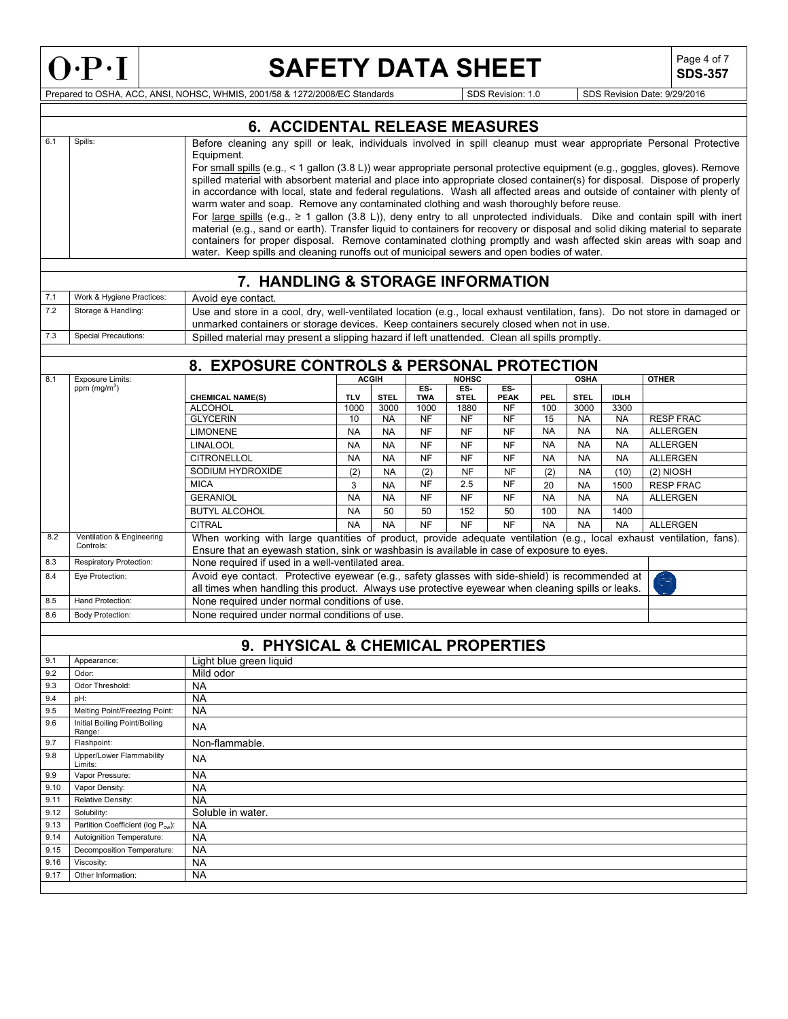

Г

# **SAFETY DATA SHEET** SDS-357

**SDS-357**

|              |                                                 | <b>6. ACCIDENTAL RELEASE MEASURES</b>                                                                                                                                                                                                            |                                                                                                                                                                                                                                                       |                        |                        |                        |                        |                        |                        |                        |                                    |
|--------------|-------------------------------------------------|--------------------------------------------------------------------------------------------------------------------------------------------------------------------------------------------------------------------------------------------------|-------------------------------------------------------------------------------------------------------------------------------------------------------------------------------------------------------------------------------------------------------|------------------------|------------------------|------------------------|------------------------|------------------------|------------------------|------------------------|------------------------------------|
| 6.1          | Spills:                                         | Before cleaning any spill or leak, individuals involved in spill cleanup must wear appropriate Personal Protective                                                                                                                               |                                                                                                                                                                                                                                                       |                        |                        |                        |                        |                        |                        |                        |                                    |
|              |                                                 | Equipment.                                                                                                                                                                                                                                       |                                                                                                                                                                                                                                                       |                        |                        |                        |                        |                        |                        |                        |                                    |
|              |                                                 | For small spills (e.g., < 1 gallon (3.8 L)) wear appropriate personal protective equipment (e.g., goggles, gloves). Remove                                                                                                                       |                                                                                                                                                                                                                                                       |                        |                        |                        |                        |                        |                        |                        |                                    |
|              |                                                 |                                                                                                                                                                                                                                                  | spilled material with absorbent material and place into appropriate closed container(s) for disposal. Dispose of properly<br>in accordance with local, state and federal regulations. Wash all affected areas and outside of container with plenty of |                        |                        |                        |                        |                        |                        |                        |                                    |
|              |                                                 |                                                                                                                                                                                                                                                  | warm water and soap. Remove any contaminated clothing and wash thoroughly before reuse.                                                                                                                                                               |                        |                        |                        |                        |                        |                        |                        |                                    |
|              |                                                 | For large spills (e.g., $\geq 1$ gallon (3.8 L)), deny entry to all unprotected individuals. Dike and contain spill with inert                                                                                                                   |                                                                                                                                                                                                                                                       |                        |                        |                        |                        |                        |                        |                        |                                    |
|              |                                                 | material (e.g., sand or earth). Transfer liquid to containers for recovery or disposal and solid diking material to separate<br>containers for proper disposal. Remove contaminated clothing promptly and wash affected skin areas with soap and |                                                                                                                                                                                                                                                       |                        |                        |                        |                        |                        |                        |                        |                                    |
|              |                                                 | water. Keep spills and cleaning runoffs out of municipal sewers and open bodies of water.                                                                                                                                                        |                                                                                                                                                                                                                                                       |                        |                        |                        |                        |                        |                        |                        |                                    |
|              |                                                 |                                                                                                                                                                                                                                                  |                                                                                                                                                                                                                                                       |                        |                        |                        |                        |                        |                        |                        |                                    |
|              |                                                 | 7. HANDLING & STORAGE INFORMATION                                                                                                                                                                                                                |                                                                                                                                                                                                                                                       |                        |                        |                        |                        |                        |                        |                        |                                    |
| 7.1          | Work & Hygiene Practices:                       | Avoid eye contact.                                                                                                                                                                                                                               |                                                                                                                                                                                                                                                       |                        |                        |                        |                        |                        |                        |                        |                                    |
| 7.2          | Storage & Handling:                             | Use and store in a cool, dry, well-ventilated location (e.g., local exhaust ventilation, fans). Do not store in damaged or<br>unmarked containers or storage devices. Keep containers securely closed when not in use.                           |                                                                                                                                                                                                                                                       |                        |                        |                        |                        |                        |                        |                        |                                    |
| 7.3          | <b>Special Precautions:</b>                     | Spilled material may present a slipping hazard if left unattended. Clean all spills promptly.                                                                                                                                                    |                                                                                                                                                                                                                                                       |                        |                        |                        |                        |                        |                        |                        |                                    |
|              |                                                 |                                                                                                                                                                                                                                                  |                                                                                                                                                                                                                                                       |                        |                        |                        |                        |                        |                        |                        |                                    |
|              |                                                 | 8. EXPOSURE CONTROLS & PERSONAL PROTECTION                                                                                                                                                                                                       |                                                                                                                                                                                                                                                       |                        |                        |                        |                        |                        |                        |                        |                                    |
| 8.1          | <b>Exposure Limits:</b>                         |                                                                                                                                                                                                                                                  |                                                                                                                                                                                                                                                       | <b>ACGIH</b>           |                        | <b>NOHSC</b>           |                        |                        | <b>OSHA</b>            |                        | <b>OTHER</b>                       |
|              | ppm (mg/m <sup>3</sup> )                        | <b>CHEMICAL NAME(S)</b>                                                                                                                                                                                                                          | <b>TLV</b>                                                                                                                                                                                                                                            | <b>STEL</b>            | FS<br><b>TWA</b>       | $ES -$<br><b>STEL</b>  | FS<br><b>PEAK</b>      | PEL.                   | <b>STEL</b>            | <b>IDLH</b>            |                                    |
|              |                                                 | <b>ALCOHOL</b>                                                                                                                                                                                                                                   | 1000                                                                                                                                                                                                                                                  | 3000                   | 1000                   | 1880                   | <b>NF</b>              | 100                    | 3000                   | 3300                   |                                    |
|              |                                                 | <b>GLYCERIN</b>                                                                                                                                                                                                                                  | 10                                                                                                                                                                                                                                                    | <b>NA</b>              | <b>NF</b>              | <b>NF</b>              | <b>NF</b>              | 15                     | <b>NA</b>              | <b>NA</b>              | <b>RESP FRAC</b>                   |
|              |                                                 | <b>LIMONENE</b><br><b>LINALOOL</b>                                                                                                                                                                                                               | <b>NA</b>                                                                                                                                                                                                                                             | <b>NA</b>              | <b>NF</b>              | <b>NF</b>              | <b>NF</b>              | <b>NA</b>              | <b>NA</b>              | <b>NA</b>              | <b>ALLERGEN</b>                    |
|              |                                                 | <b>CITRONELLOL</b>                                                                                                                                                                                                                               | <b>NA</b><br><b>NA</b>                                                                                                                                                                                                                                | <b>NA</b><br><b>NA</b> | <b>NF</b><br><b>NF</b> | <b>NF</b><br><b>NF</b> | <b>NF</b><br><b>NF</b> | <b>NA</b><br><b>NA</b> | <b>NA</b><br><b>NA</b> | <b>NA</b><br><b>NA</b> | <b>ALLERGEN</b><br><b>ALLERGEN</b> |
|              |                                                 | SODIUM HYDROXIDE                                                                                                                                                                                                                                 | (2)                                                                                                                                                                                                                                                   | <b>NA</b>              | (2)                    | <b>NF</b>              | <b>NF</b>              | (2)                    | <b>NA</b>              | (10)                   | $(2)$ NIOSH                        |
|              |                                                 | <b>MICA</b>                                                                                                                                                                                                                                      | 3                                                                                                                                                                                                                                                     | <b>NA</b>              | <b>NF</b>              | 2.5                    | <b>NF</b>              | 20                     | <b>NA</b>              | 1500                   | <b>RESP FRAC</b>                   |
|              |                                                 | <b>GERANIOL</b>                                                                                                                                                                                                                                  | <b>NA</b>                                                                                                                                                                                                                                             | <b>NA</b>              | <b>NF</b>              | <b>NF</b>              | <b>NF</b>              | <b>NA</b>              | <b>NA</b>              | <b>NA</b>              | <b>ALLERGEN</b>                    |
|              |                                                 | <b>BUTYL ALCOHOL</b>                                                                                                                                                                                                                             | <b>NA</b>                                                                                                                                                                                                                                             | 50                     | 50                     | 152                    | 50                     | 100                    | <b>NA</b>              | 1400                   |                                    |
|              |                                                 | <b>CITRAL</b>                                                                                                                                                                                                                                    | <b>NA</b>                                                                                                                                                                                                                                             | <b>NA</b>              | <b>NF</b>              | <b>NF</b>              | <b>NF</b>              | <b>NA</b>              | <b>NA</b>              | <b>NA</b>              | <b>ALLERGEN</b>                    |
| 8.2          | Ventilation & Engineering<br>Controls:          | When working with large quantities of product, provide adequate ventilation (e.g., local exhaust ventilation, fans).<br>Ensure that an eyewash station, sink or washbasin is available in case of exposure to eyes.                              |                                                                                                                                                                                                                                                       |                        |                        |                        |                        |                        |                        |                        |                                    |
| 8.3          | Respiratory Protection:                         | None required if used in a well-ventilated area.                                                                                                                                                                                                 |                                                                                                                                                                                                                                                       |                        |                        |                        |                        |                        |                        |                        |                                    |
| 8.4          | Eye Protection:                                 | Avoid eye contact. Protective eyewear (e.g., safety glasses with side-shield) is recommended at                                                                                                                                                  |                                                                                                                                                                                                                                                       |                        |                        |                        |                        |                        |                        |                        | 2                                  |
|              |                                                 | all times when handling this product. Always use protective eyewear when cleaning spills or leaks.                                                                                                                                               |                                                                                                                                                                                                                                                       |                        |                        |                        |                        |                        |                        |                        |                                    |
| 8.5          | Hand Protection:                                | None required under normal conditions of use.                                                                                                                                                                                                    |                                                                                                                                                                                                                                                       |                        |                        |                        |                        |                        |                        |                        |                                    |
| 8.6          | <b>Body Protection:</b>                         | None required under normal conditions of use.                                                                                                                                                                                                    |                                                                                                                                                                                                                                                       |                        |                        |                        |                        |                        |                        |                        |                                    |
|              |                                                 |                                                                                                                                                                                                                                                  |                                                                                                                                                                                                                                                       |                        |                        |                        |                        |                        |                        |                        |                                    |
|              |                                                 | 9. PHYSICAL & CHEMICAL PROPERTIES                                                                                                                                                                                                                |                                                                                                                                                                                                                                                       |                        |                        |                        |                        |                        |                        |                        |                                    |
| 9.1<br>9.2   | Appearance:<br>Odor:                            | Light blue green liquid<br>Mild odor                                                                                                                                                                                                             |                                                                                                                                                                                                                                                       |                        |                        |                        |                        |                        |                        |                        |                                    |
| 9.3          | Odor Threshold:                                 | <b>NA</b>                                                                                                                                                                                                                                        |                                                                                                                                                                                                                                                       |                        |                        |                        |                        |                        |                        |                        |                                    |
| 9.4          | pH:                                             | NА                                                                                                                                                                                                                                               |                                                                                                                                                                                                                                                       |                        |                        |                        |                        |                        |                        |                        |                                    |
| 9.5          | Melting Point/Freezing Point:                   | <b>NA</b>                                                                                                                                                                                                                                        |                                                                                                                                                                                                                                                       |                        |                        |                        |                        |                        |                        |                        |                                    |
| 9.6          | Initial Boiling Point/Boiling<br>Range:         | <b>NA</b>                                                                                                                                                                                                                                        |                                                                                                                                                                                                                                                       |                        |                        |                        |                        |                        |                        |                        |                                    |
| 9.7          | Flashpoint:                                     | Non-flammable.                                                                                                                                                                                                                                   |                                                                                                                                                                                                                                                       |                        |                        |                        |                        |                        |                        |                        |                                    |
| 9.8          | <b>Upper/Lower Flammability</b><br>Limits:      | <b>NA</b>                                                                                                                                                                                                                                        |                                                                                                                                                                                                                                                       |                        |                        |                        |                        |                        |                        |                        |                                    |
| 9.9          | Vapor Pressure:                                 | <b>NA</b>                                                                                                                                                                                                                                        |                                                                                                                                                                                                                                                       |                        |                        |                        |                        |                        |                        |                        |                                    |
| 9.10         | Vapor Density:                                  | NA                                                                                                                                                                                                                                               |                                                                                                                                                                                                                                                       |                        |                        |                        |                        |                        |                        |                        |                                    |
| 9.11         | Relative Density:                               | NA                                                                                                                                                                                                                                               |                                                                                                                                                                                                                                                       |                        |                        |                        |                        |                        |                        |                        |                                    |
| 9.12<br>9.13 | Solubility:<br>Partition Coefficient (log Pow): | Soluble in water.<br>NA                                                                                                                                                                                                                          |                                                                                                                                                                                                                                                       |                        |                        |                        |                        |                        |                        |                        |                                    |
| 9.14         | Autoignition Temperature:                       | <b>NA</b>                                                                                                                                                                                                                                        |                                                                                                                                                                                                                                                       |                        |                        |                        |                        |                        |                        |                        |                                    |
| 9.15         | Decomposition Temperature:                      | <b>NA</b>                                                                                                                                                                                                                                        |                                                                                                                                                                                                                                                       |                        |                        |                        |                        |                        |                        |                        |                                    |
| 9.16         | Viscosity:                                      | <b>NA</b>                                                                                                                                                                                                                                        |                                                                                                                                                                                                                                                       |                        |                        |                        |                        |                        |                        |                        |                                    |
| 9.17         | Other Information:                              | <b>NA</b>                                                                                                                                                                                                                                        |                                                                                                                                                                                                                                                       |                        |                        |                        |                        |                        |                        |                        |                                    |
|              |                                                 |                                                                                                                                                                                                                                                  |                                                                                                                                                                                                                                                       |                        |                        |                        |                        |                        |                        |                        |                                    |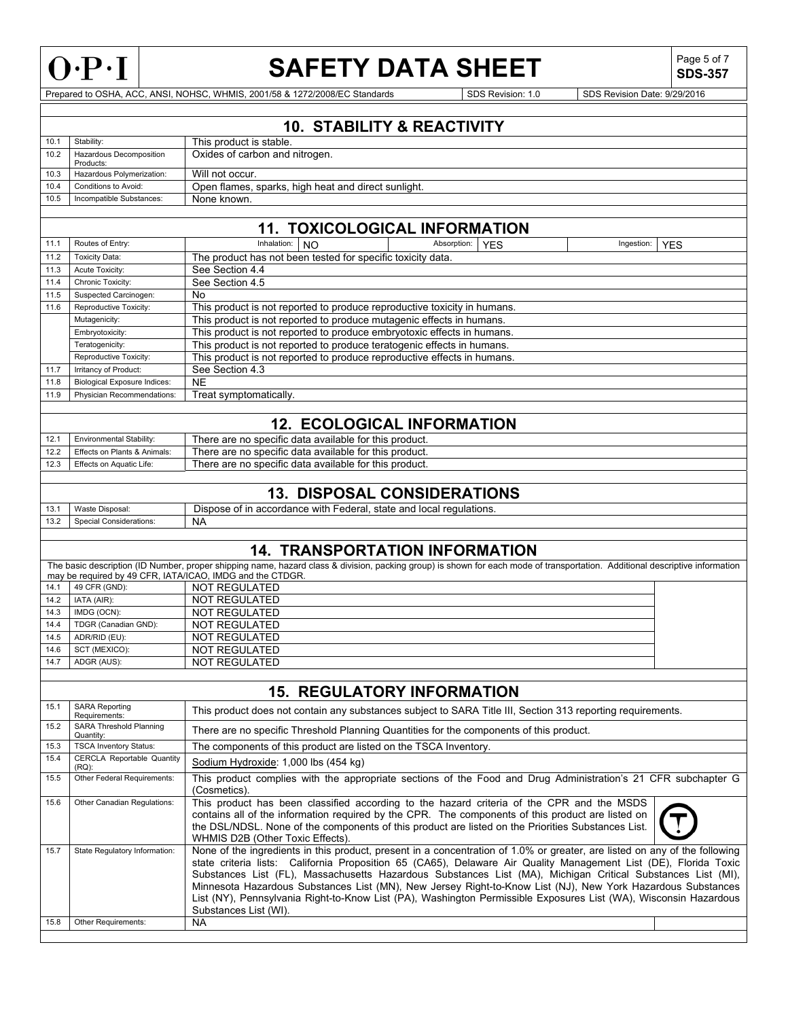

**SDS-357**

Prepared to OSHA, ACC, ANSI, NOHSC, WHMIS, 2001/58 & 1272/2008/EC Standards SDS Revision: 1.0 SDS Revision Date: 9/29/2016

## **10. STABILITY & REACTIVITY**

| 10.1 | Stability:                           | This product is stable.                             |
|------|--------------------------------------|-----------------------------------------------------|
| 10.2 | Hazardous Decomposition<br>Products: | Oxides of carbon and nitrogen.                      |
| 10.3 | Hazardous Polymerization:            | Will not occur.                                     |
| 10.4 | Conditions to Avoid:                 | Open flames, sparks, high heat and direct sunlight. |
| 10.5 | Incompatible Substances:             | None known.                                         |

## **11. TOXICOLOGICAL INFORMATION**

| 11.1 | Routes of Entry:                                     | Inhalation:                                                             | <b>NO</b>                                                                | Absorption: | <b>YES</b> | Ingestion: | <b>YFS</b> |  |  |  |
|------|------------------------------------------------------|-------------------------------------------------------------------------|--------------------------------------------------------------------------|-------------|------------|------------|------------|--|--|--|
| 11.2 | <b>Toxicity Data:</b>                                |                                                                         | The product has not been tested for specific toxicity data.              |             |            |            |            |  |  |  |
| 11.3 | Acute Toxicity:                                      | See Section 4.4                                                         |                                                                          |             |            |            |            |  |  |  |
| 11.4 | Chronic Toxicity:                                    | See Section 4.5                                                         |                                                                          |             |            |            |            |  |  |  |
| 11.5 | Suspected Carcinogen:                                | No                                                                      |                                                                          |             |            |            |            |  |  |  |
| 11.6 | Reproductive Toxicity:                               |                                                                         | This product is not reported to produce reproductive toxicity in humans. |             |            |            |            |  |  |  |
|      | Mutagenicity:                                        |                                                                         | This product is not reported to produce mutagenic effects in humans.     |             |            |            |            |  |  |  |
|      | Embryotoxicity:                                      |                                                                         | This product is not reported to produce embryotoxic effects in humans.   |             |            |            |            |  |  |  |
|      | Teratogenicity:                                      | This product is not reported to produce teratogenic effects in humans.  |                                                                          |             |            |            |            |  |  |  |
|      | Reproductive Toxicity:                               | This product is not reported to produce reproductive effects in humans. |                                                                          |             |            |            |            |  |  |  |
| 11.7 | Irritancy of Product:                                | See Section 4.3                                                         |                                                                          |             |            |            |            |  |  |  |
| 11.8 | <b>Biological Exposure Indices:</b>                  | NE.                                                                     |                                                                          |             |            |            |            |  |  |  |
| 11.9 | Treat symptomatically.<br>Physician Recommendations: |                                                                         |                                                                          |             |            |            |            |  |  |  |
|      |                                                      |                                                                         |                                                                          |             |            |            |            |  |  |  |
|      | <b>12. ECOLOGICAL INFORMATION</b>                    |                                                                         |                                                                          |             |            |            |            |  |  |  |

|      |                              | IEL EVVEVVIV/ \E II \I  VI \III/ \ I I VI \            |
|------|------------------------------|--------------------------------------------------------|
| 12.1 | Environmental Stability:     | There are no specific data available for this product. |
| 12.2 | Effects on Plants & Animals: | There are no specific data available for this product. |
| 12.3 | Effects on Aquatic Life:     | There are no specific data available for this product. |
|      |                              |                                                        |

## **13. DISPOSAL CONSIDERATIONS**

| 13.1 | Maste.<br>Disposal:<br>vvasue | regulations.<br>Jispose<br>accordance<br>and<br>with<br>Federal.<br>state<br>local<br>nt ir |
|------|-------------------------------|---------------------------------------------------------------------------------------------|
| 13.2 | Considerations:<br>Special    | <b>NA</b>                                                                                   |
|      |                               |                                                                                             |

## **14. TRANSPORTATION INFORMATION**

|      | The basic description (ID Number, proper shipping name, hazard class & division, packing group) is shown for each mode of transportation. Additional descriptive information |               |  |  |  |  |  |  |  |
|------|------------------------------------------------------------------------------------------------------------------------------------------------------------------------------|---------------|--|--|--|--|--|--|--|
|      | may be required by 49 CFR. IATA/ICAO. IMDG and the CTDGR.                                                                                                                    |               |  |  |  |  |  |  |  |
| 14.1 | $\overline{1}$ 49 CFR (GND):                                                                                                                                                 | NOT REGULATED |  |  |  |  |  |  |  |
|      | $14.2$ IATA (AIR):                                                                                                                                                           | NOT REGULATED |  |  |  |  |  |  |  |
| 14.3 | IMDG (OCN):                                                                                                                                                                  | NOT REGULATED |  |  |  |  |  |  |  |

| 14.4 | TDGR (Canadian GND): | NOT REGULATED |
|------|----------------------|---------------|
| 14.5 | ADR/RID (EU):        | NOT REGULATED |
| 14.6 | SCT (MEXICO):        | NOT REGULATED |
| 14.7 | ADGR (AUS):          | NOT REGULATED |
|      |                      |               |

|      | <b>15. REGULATORY INFORMATION</b>             |                                                                                                                                                                                                                                                                                                                                                                                                                                                                                                                                                                                                                           |  |  |  |  |  |  |  |
|------|-----------------------------------------------|---------------------------------------------------------------------------------------------------------------------------------------------------------------------------------------------------------------------------------------------------------------------------------------------------------------------------------------------------------------------------------------------------------------------------------------------------------------------------------------------------------------------------------------------------------------------------------------------------------------------------|--|--|--|--|--|--|--|
| 15.1 | <b>SARA Reporting</b><br>Requirements:        | This product does not contain any substances subject to SARA Title III, Section 313 reporting requirements.                                                                                                                                                                                                                                                                                                                                                                                                                                                                                                               |  |  |  |  |  |  |  |
| 15.2 | SARA Threshold Planning<br>Quantity:          | There are no specific Threshold Planning Quantities for the components of this product.                                                                                                                                                                                                                                                                                                                                                                                                                                                                                                                                   |  |  |  |  |  |  |  |
| 15.3 | <b>TSCA Inventory Status:</b>                 | The components of this product are listed on the TSCA Inventory.                                                                                                                                                                                                                                                                                                                                                                                                                                                                                                                                                          |  |  |  |  |  |  |  |
| 15.4 | <b>CERCLA Reportable Quantity</b><br>$(RQ)$ : | Sodium Hydroxide: 1,000 lbs (454 kg)                                                                                                                                                                                                                                                                                                                                                                                                                                                                                                                                                                                      |  |  |  |  |  |  |  |
| 15.5 | Other Federal Requirements:                   | This product complies with the appropriate sections of the Food and Drug Administration's 21 CFR subchapter G<br>(Cosmetics).                                                                                                                                                                                                                                                                                                                                                                                                                                                                                             |  |  |  |  |  |  |  |
| 15.6 | Other Canadian Regulations:                   | This product has been classified according to the hazard criteria of the CPR and the MSDS<br>contains all of the information required by the CPR. The components of this product are listed on<br>the DSL/NDSL. None of the components of this product are listed on the Priorities Substances List.<br>WHMIS D2B (Other Toxic Effects).                                                                                                                                                                                                                                                                                  |  |  |  |  |  |  |  |
| 15.7 | State Regulatory Information:                 | None of the ingredients in this product, present in a concentration of 1.0% or greater, are listed on any of the following<br>state criteria lists: California Proposition 65 (CA65), Delaware Air Quality Management List (DE), Florida Toxic<br>Substances List (FL), Massachusetts Hazardous Substances List (MA), Michigan Critical Substances List (MI),<br>Minnesota Hazardous Substances List (MN), New Jersey Right-to-Know List (NJ), New York Hazardous Substances<br>List (NY), Pennsylvania Right-to-Know List (PA), Washington Permissible Exposures List (WA), Wisconsin Hazardous<br>Substances List (WI). |  |  |  |  |  |  |  |
| 15.8 | Other Requirements:                           | <b>NA</b>                                                                                                                                                                                                                                                                                                                                                                                                                                                                                                                                                                                                                 |  |  |  |  |  |  |  |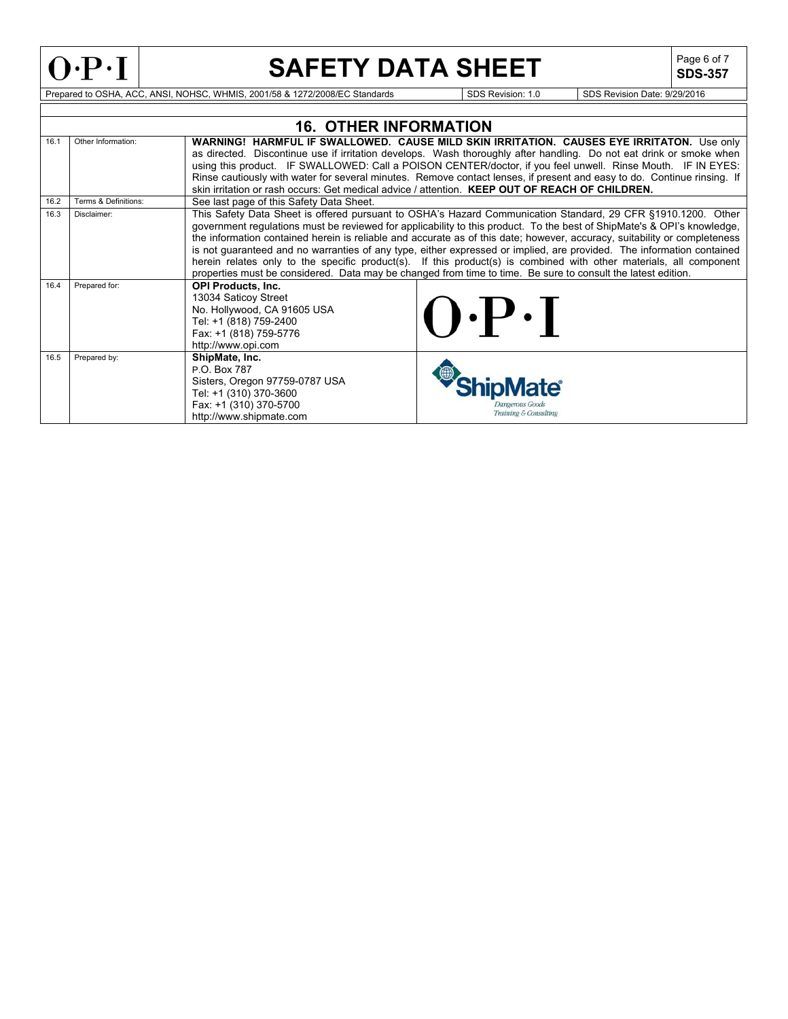

**SDS-357**

|      |                      | <b>16. OTHER INFORMATION</b>                                                                                                                                                                                              |                                                                                                                                                                                                                                                                                                                                                                                                                                                                                                                                                                                                                                                                                                                                     |  |  |  |  |  |  |
|------|----------------------|---------------------------------------------------------------------------------------------------------------------------------------------------------------------------------------------------------------------------|-------------------------------------------------------------------------------------------------------------------------------------------------------------------------------------------------------------------------------------------------------------------------------------------------------------------------------------------------------------------------------------------------------------------------------------------------------------------------------------------------------------------------------------------------------------------------------------------------------------------------------------------------------------------------------------------------------------------------------------|--|--|--|--|--|--|
| 16.1 | Other Information:   |                                                                                                                                                                                                                           | WARNING! HARMFUL IF SWALLOWED. CAUSE MILD SKIN IRRITATION. CAUSES EYE IRRITATON. Use only<br>as directed. Discontinue use if irritation develops. Wash thoroughly after handling. Do not eat drink or smoke when<br>using this product. IF SWALLOWED: Call a POISON CENTER/doctor, if you feel unwell. Rinse Mouth. IF IN EYES:                                                                                                                                                                                                                                                                                                                                                                                                     |  |  |  |  |  |  |
|      |                      | Rinse cautiously with water for several minutes. Remove contact lenses, if present and easy to do. Continue rinsing. If<br>skin irritation or rash occurs: Get medical advice / attention. KEEP OUT OF REACH OF CHILDREN. |                                                                                                                                                                                                                                                                                                                                                                                                                                                                                                                                                                                                                                                                                                                                     |  |  |  |  |  |  |
| 16.2 | Terms & Definitions: | See last page of this Safety Data Sheet.                                                                                                                                                                                  |                                                                                                                                                                                                                                                                                                                                                                                                                                                                                                                                                                                                                                                                                                                                     |  |  |  |  |  |  |
| 16.3 | Disclaimer:          |                                                                                                                                                                                                                           | This Safety Data Sheet is offered pursuant to OSHA's Hazard Communication Standard, 29 CFR §1910.1200. Other<br>government regulations must be reviewed for applicability to this product. To the best of ShipMate's & OPI's knowledge,<br>the information contained herein is reliable and accurate as of this date; however, accuracy, suitability or completeness<br>is not guaranteed and no warranties of any type, either expressed or implied, are provided. The information contained<br>herein relates only to the specific product(s). If this product(s) is combined with other materials, all component<br>properties must be considered. Data may be changed from time to time. Be sure to consult the latest edition. |  |  |  |  |  |  |
| 16.4 | Prepared for:        | <b>OPI Products, Inc.</b><br>13034 Saticoy Street<br>No. Hollywood, CA 91605 USA<br>Tel: +1 (818) 759-2400<br>Fax: +1 (818) 759-5776<br>http://www.opi.com                                                                | $\cdot P \cdot I$                                                                                                                                                                                                                                                                                                                                                                                                                                                                                                                                                                                                                                                                                                                   |  |  |  |  |  |  |
| 16.5 | Prepared by:         | ShipMate, Inc.<br>P.O. Box 787<br>Sisters, Oregon 97759-0787 USA<br>Tel: +1 (310) 370-3600<br>Fax: +1 (310) 370-5700<br>http://www.shipmate.com                                                                           | <b>Mate</b><br>kmoerous Goods<br>Training & Consulting                                                                                                                                                                                                                                                                                                                                                                                                                                                                                                                                                                                                                                                                              |  |  |  |  |  |  |